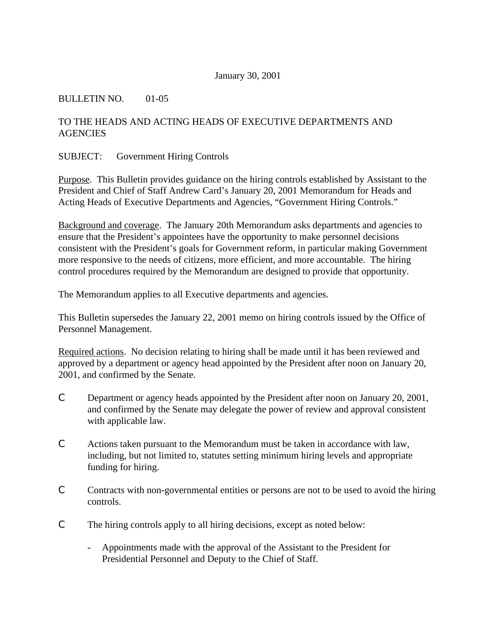## January 30, 2001

## BULLETIN NO. 01-05

## TO THE HEADS AND ACTING HEADS OF EXECUTIVE DEPARTMENTS AND **AGENCIES**

## SUBJECT: Government Hiring Controls

Purpose. This Bulletin provides guidance on the hiring controls established by Assistant to the President and Chief of Staff Andrew Card's January 20, 2001 Memorandum for Heads and Acting Heads of Executive Departments and Agencies, "Government Hiring Controls."

Background and coverage. The January 20th Memorandum asks departments and agencies to ensure that the President's appointees have the opportunity to make personnel decisions consistent with the President's goals for Government reform, in particular making Government more responsive to the needs of citizens, more efficient, and more accountable. The hiring control procedures required by the Memorandum are designed to provide that opportunity.

The Memorandum applies to all Executive departments and agencies.

This Bulletin supersedes the January 22, 2001 memo on hiring controls issued by the Office of Personnel Management.

Required actions. No decision relating to hiring shall be made until it has been reviewed and approved by a department or agency head appointed by the President after noon on January 20, 2001, and confirmed by the Senate.

- C Department or agency heads appointed by the President after noon on January 20, 2001, and confirmed by the Senate may delegate the power of review and approval consistent with applicable law.
- C Actions taken pursuant to the Memorandum must be taken in accordance with law, including, but not limited to, statutes setting minimum hiring levels and appropriate funding for hiring.
- C Contracts with non-governmental entities or persons are not to be used to avoid the hiring controls.
- C The hiring controls apply to all hiring decisions, except as noted below:
	- Appointments made with the approval of the Assistant to the President for Presidential Personnel and Deputy to the Chief of Staff.